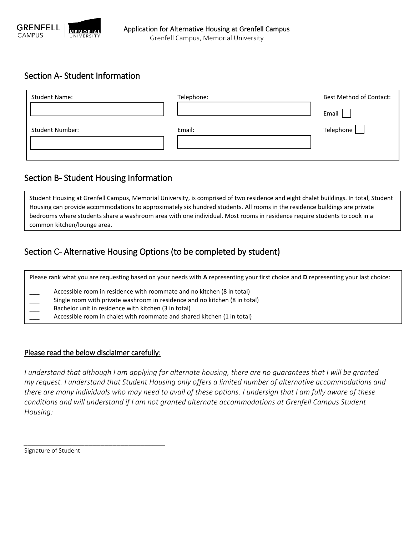

### Section A- Student Information

| <b>Student Name:</b>   | Telephone: | <b>Best Method of Contact:</b> |
|------------------------|------------|--------------------------------|
|                        |            | Email                          |
| <b>Student Number:</b> | Email:     | Telephone                      |
|                        |            |                                |

### Section B- Student Housing Information

Student Housing at Grenfell Campus, Memorial University, is comprised of two residence and eight chalet buildings. In total, Student Housing can provide accommodations to approximately six hundred students. All rooms in the residence buildings are private bedrooms where students share a washroom area with one individual. Most rooms in residence require students to cook in a common kitchen/lounge area.

# Section C- Alternative Housing Options (to be completed by student)

Please rank what you are requesting based on your needs with **A** representing your first choice and **D** representing your last choice: Accessible room in residence with roommate and no kitchen (8 in total) Single room with private washroom in residence and no kitchen (8 in total) Bachelor unit in residence with kitchen (3 in total) Accessible room in chalet with roommate and shared kitchen (1 in total)

### Please read the below disclaimer carefully:

*\_\_\_\_\_\_\_\_\_\_\_\_\_\_\_\_\_\_\_\_\_\_\_\_\_\_\_\_\_\_\_\_\_\_\_*

*I* understand that although I am applying for alternate housing, there are no quarantees that I will be granted *my request. I understand that Student Housing only offers a limited number of alternative accommodations and there are many individuals who may need to avail of these options. I undersign that I am fully aware of these conditions and will understand if I am not granted alternate accommodations at Grenfell Campus Student Housing:*

Signature of Student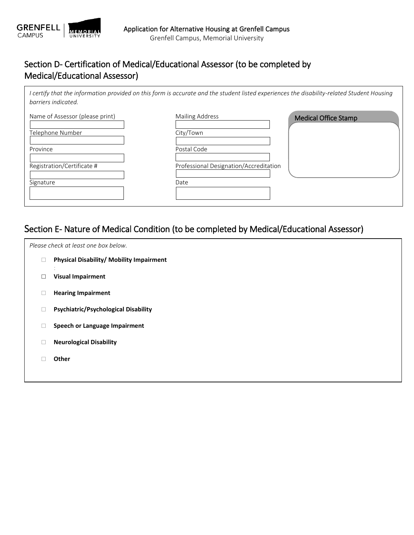

# Section D- Certification of Medical/Educational Assessor (to be completed by Medical/Educational Assessor)

*I certify that the information provided on this form is accurate and the student listed experiences the disability-related Student Housing barriers indicated.*

| Name of Assessor (please print) | <b>Mailing Address</b>                 | Medical Office Stamp |
|---------------------------------|----------------------------------------|----------------------|
|                                 |                                        |                      |
| Telephone Number                | City/Town                              |                      |
| Province                        | Postal Code                            |                      |
| Registration/Certificate #      | Professional Designation/Accreditation |                      |
| Signature                       | Date                                   |                      |
|                                 |                                        |                      |
|                                 |                                        |                      |

# Section E- Nature of Medical Condition (to be completed by Medical/Educational Assessor)

| Please check at least one box below. |                                             |  |  |
|--------------------------------------|---------------------------------------------|--|--|
| $\Box$                               | Physical Disability/ Mobility Impairment    |  |  |
| $\Box$                               | <b>Visual Impairment</b>                    |  |  |
| $\Box$                               | <b>Hearing Impairment</b>                   |  |  |
| $\Box$                               | <b>Psychiatric/Psychological Disability</b> |  |  |
| $\Box$                               | Speech or Language Impairment               |  |  |
| $\Box$                               | <b>Neurological Disability</b>              |  |  |
|                                      | Other                                       |  |  |
|                                      |                                             |  |  |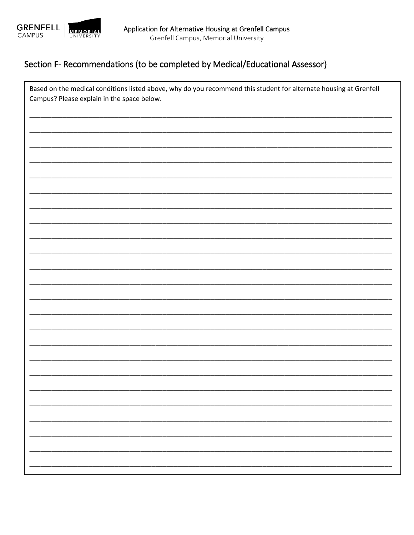

# Section F- Recommendations (to be completed by Medical/Educational Assessor)

| Based on the medical conditions listed above, why do you recommend this student for alternate housing at Grenfell<br>Campus? Please explain in the space below. |  |  |
|-----------------------------------------------------------------------------------------------------------------------------------------------------------------|--|--|
|                                                                                                                                                                 |  |  |
|                                                                                                                                                                 |  |  |
|                                                                                                                                                                 |  |  |
|                                                                                                                                                                 |  |  |
|                                                                                                                                                                 |  |  |
|                                                                                                                                                                 |  |  |
|                                                                                                                                                                 |  |  |
|                                                                                                                                                                 |  |  |
|                                                                                                                                                                 |  |  |
|                                                                                                                                                                 |  |  |
|                                                                                                                                                                 |  |  |
|                                                                                                                                                                 |  |  |
|                                                                                                                                                                 |  |  |
|                                                                                                                                                                 |  |  |
|                                                                                                                                                                 |  |  |
|                                                                                                                                                                 |  |  |
|                                                                                                                                                                 |  |  |
|                                                                                                                                                                 |  |  |
|                                                                                                                                                                 |  |  |
|                                                                                                                                                                 |  |  |
|                                                                                                                                                                 |  |  |
|                                                                                                                                                                 |  |  |
|                                                                                                                                                                 |  |  |
|                                                                                                                                                                 |  |  |
|                                                                                                                                                                 |  |  |
|                                                                                                                                                                 |  |  |
|                                                                                                                                                                 |  |  |
|                                                                                                                                                                 |  |  |
|                                                                                                                                                                 |  |  |
|                                                                                                                                                                 |  |  |
|                                                                                                                                                                 |  |  |
|                                                                                                                                                                 |  |  |
|                                                                                                                                                                 |  |  |
|                                                                                                                                                                 |  |  |